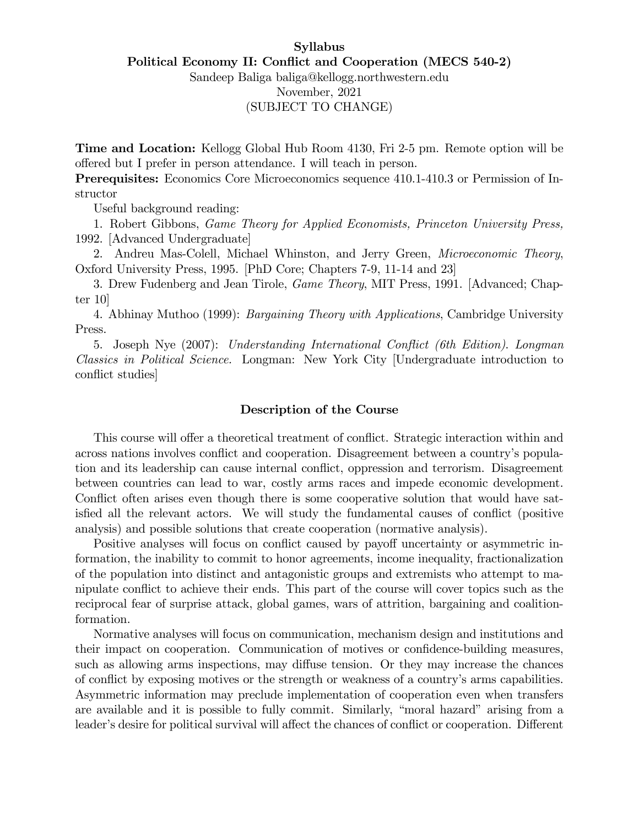# Syllabus Political Economy II: Conflict and Cooperation (MECS 540-2) Sandeep Baliga baliga@kellogg.northwestern.edu November, 2021

# (SUBJECT TO CHANGE)

Time and Location: Kellogg Global Hub Room 4130, Fri 2-5 pm. Remote option will be offered but I prefer in person attendance. I will teach in person.

Prerequisites: Economics Core Microeconomics sequence 410.1-410.3 or Permission of Instructor

Useful background reading:

1. Robert Gibbons, Game Theory for Applied Economists, Princeton University Press, 1992. [Advanced Undergraduate]

2. Andreu Mas-Colell, Michael Whinston, and Jerry Green, Microeconomic Theory, Oxford University Press, 1995. [PhD Core; Chapters 7-9, 11-14 and 23]

3. Drew Fudenberg and Jean Tirole, *Game Theory*, MIT Press, 1991. [Advanced; Chapter 10]

4. Abhinay Muthoo (1999): Bargaining Theory with Applications, Cambridge University Press.

5. Joseph Nye (2007): Understanding International Conflict (6th Edition). Longman Classics in Political Science. Longman: New York City [Undergraduate introduction to conflict studies

## Description of the Course

This course will offer a theoretical treatment of conflict. Strategic interaction within and across nations involves conflict and cooperation. Disagreement between a country's population and its leadership can cause internal conflict, oppression and terrorism. Disagreement between countries can lead to war, costly arms races and impede economic development. Conflict often arises even though there is some cooperative solution that would have satisfied all the relevant actors. We will study the fundamental causes of conflict (positive analysis) and possible solutions that create cooperation (normative analysis).

Positive analyses will focus on conflict caused by payoff uncertainty or asymmetric information, the inability to commit to honor agreements, income inequality, fractionalization of the population into distinct and antagonistic groups and extremists who attempt to manipulate conflict to achieve their ends. This part of the course will cover topics such as the reciprocal fear of surprise attack, global games, wars of attrition, bargaining and coalitionformation.

Normative analyses will focus on communication, mechanism design and institutions and their impact on cooperation. Communication of motives or confidence-building measures, such as allowing arms inspections, may diffuse tension. Or they may increase the chances of conflict by exposing motives or the strength or weakness of a country's arms capabilities. Asymmetric information may preclude implementation of cooperation even when transfers are available and it is possible to fully commit. Similarly, "moral hazard" arising from a leader's desire for political survival will affect the chances of conflict or cooperation. Different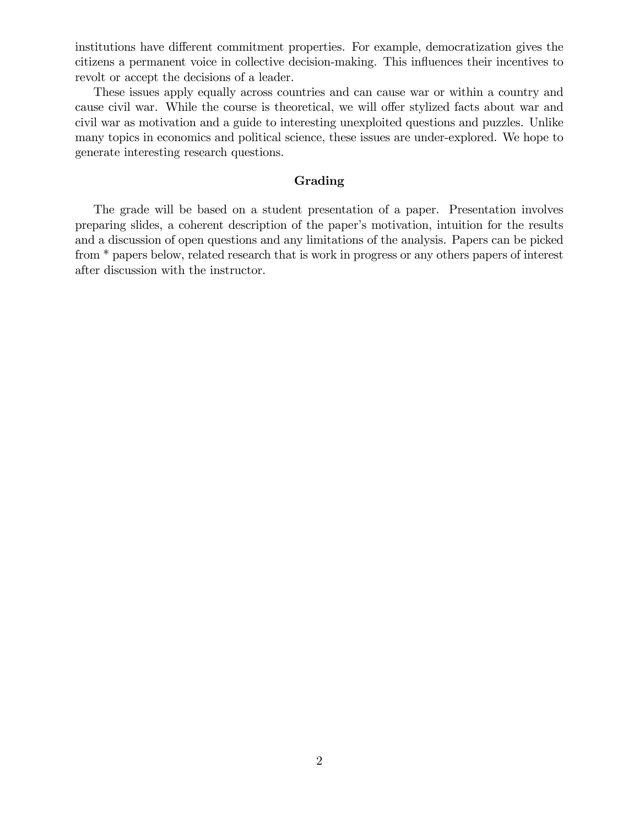institutions have different commitment properties. For example, democratization gives the citizens a permanent voice in collective decision-making. This ináuences their incentives to revolt or accept the decisions of a leader.

These issues apply equally across countries and can cause war or within a country and cause civil war. While the course is theoretical, we will offer stylized facts about war and civil war as motivation and a guide to interesting unexploited questions and puzzles. Unlike many topics in economics and political science, these issues are under-explored. We hope to generate interesting research questions.

## Grading

The grade will be based on a student presentation of a paper. Presentation involves preparing slides, a coherent description of the paper's motivation, intuition for the results and a discussion of open questions and any limitations of the analysis. Papers can be picked from \* papers below, related research that is work in progress or any others papers of interest after discussion with the instructor.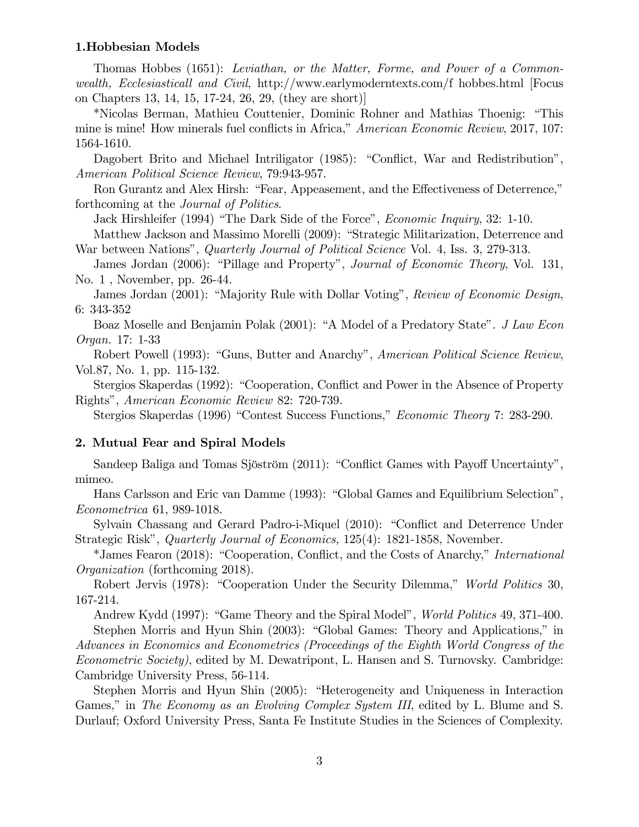#### 1.Hobbesian Models

Thomas Hobbes (1651): Leviathan, or the Matter, Forme, and Power of a Common*wealth, Ecclesiasticall and Civil, http://www.earlymoderntexts.com/f hobbes.html Focus* on Chapters 13, 14, 15, 17-24, 26, 29, (they are short)

\*Nicolas Berman, Mathieu Couttenier, Dominic Rohner and Mathias Thoenig: "This mine is mine! How minerals fuel conflicts in Africa," American Economic Review, 2017, 107: 1564-1610.

Dagobert Brito and Michael Intriligator (1985): "Conflict, War and Redistribution", American Political Science Review, 79:943-957.

Ron Gurantz and Alex Hirsh: "Fear, Appeasement, and the Effectiveness of Deterrence," forthcoming at the *Journal of Politics*.

Jack Hirshleifer (1994) "The Dark Side of the Force", *Economic Inquiry*, 32: 1-10. Matthew Jackson and Massimo Morelli (2009): "Strategic Militarization, Deterrence and

War between Nations", Quarterly Journal of Political Science Vol. 4, Iss. 3, 279-313.

James Jordan (2006): "Pillage and Property", *Journal of Economic Theory*, Vol. 131, No. 1, November, pp. 26-44.

James Jordan (2001): "Majority Rule with Dollar Voting", Review of Economic Design,  $6: 343-352$ 

Boaz Moselle and Benjamin Polak (2001): "A Model of a Predatory State". J Law Econ *Organ.* 17: 1-33

Robert Powell (1993): "Guns, Butter and Anarchy", American Political Science Review, Vol.87, No. 1, pp. 115-132.

Stergios Skaperdas (1992): "Cooperation, Conflict and Power in the Absence of Property Rights", American Economic Review 82: 720-739.

Stergios Skaperdas (1996) "Contest Success Functions," *Economic Theory* 7: 283-290.

#### 2. Mutual Fear and Spiral Models

Sandeep Baliga and Tomas Sjöström (2011): "Conflict Games with Payoff Uncertainty", mimeo.

Hans Carlsson and Eric van Damme (1993): "Global Games and Equilibrium Selection", *Econometrica* 61, 989-1018.

Sylvain Chassang and Gerard Padro-i-Miquel (2010): "Conflict and Deterrence Under Strategic Risk", Quarterly Journal of Economics, 125(4): 1821-1858, November.

\*James Fearon (2018): "Cooperation, Conflict, and the Costs of Anarchy," *International Organization* (forthcoming 2018).

Robert Jervis (1978): "Cooperation Under the Security Dilemma," World Politics 30, 167-214.

Andrew Kydd (1997): "Game Theory and the Spiral Model", *World Politics* 49, 371-400. Stephen Morris and Hyun Shin (2003): "Global Games: Theory and Applications," in

Advances in Economics and Econometrics (Proceedings of the Eighth World Congress of the *Econometric Society*), edited by M. Dewatripont, L. Hansen and S. Turnovsky. Cambridge: Cambridge University Press, 56-114.

Stephen Morris and Hyun Shin (2005): "Heterogeneity and Uniqueness in Interaction Games," in The Economy as an Evolving Complex System III, edited by L. Blume and S. Durlauf; Oxford University Press, Santa Fe Institute Studies in the Sciences of Complexity.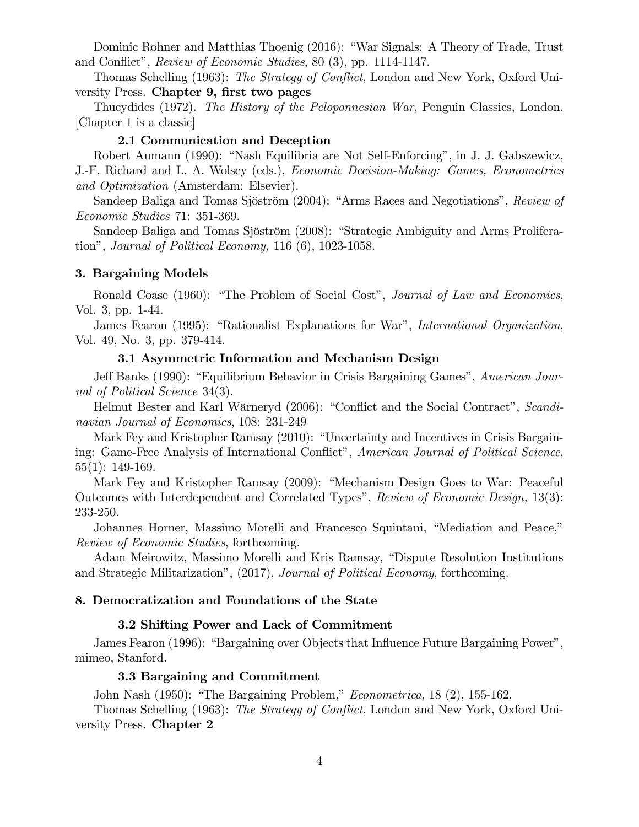Dominic Rohner and Matthias Thoenig (2016): "War Signals: A Theory of Trade, Trust and Conflict", Review of Economic Studies, 80 (3), pp. 1114-1147.

Thomas Schelling (1963): The Strategy of Conflict, London and New York, Oxford University Press. Chapter 9, first two pages

Thucydides (1972). The History of the Peloponnesian War, Penguin Classics, London. [Chapter 1 is a classic]

#### 2.1 Communication and Deception

Robert Aumann (1990): "Nash Equilibria are Not Self-Enforcing", in J. J. Gabszewicz, J.-F. Richard and L. A. Wolsey (eds.), *Economic Decision-Making: Games, Econometrics* and Optimization (Amsterdam: Elsevier).

Sandeep Baliga and Tomas Sjöström (2004): "Arms Races and Negotiations", Review of *Economic Studies* 71: 351-369.

Sandeep Baliga and Tomas Sjöström (2008): "Strategic Ambiguity and Arms Proliferation", Journal of Political Economy,  $116(6)$ ,  $1023-1058$ .

## 3. Bargaining Models

Ronald Coase (1960): "The Problem of Social Cost", *Journal of Law and Economics*, Vol. 3, pp. 1-44.

James Fearon (1995): "Rationalist Explanations for War", International Organization, Vol. 49, No. 3, pp. 379-414.

## 3.1 Asymmetric Information and Mechanism Design

Jeff Banks (1990): "Equilibrium Behavior in Crisis Bargaining Games", American Journal of Political Science 34(3).

Helmut Bester and Karl Wärneryd (2006): "Conflict and the Social Contract", Scandinavian Journal of Economics, 108: 231-249

Mark Fey and Kristopher Ramsay (2010): "Uncertainty and Incentives in Crisis Bargaining: Game-Free Analysis of International Conflict", American Journal of Political Science,  $55(1): 149-169.$ 

Mark Fey and Kristopher Ramsay (2009): "Mechanism Design Goes to War: Peaceful Outcomes with Interdependent and Correlated Types", Review of Economic Design, 13(3): 233-250.

Johannes Horner, Massimo Morelli and Francesco Squintani, "Mediation and Peace," *Review of Economic Studies, forthcoming.* 

Adam Meirowitz, Massimo Morelli and Kris Ramsay, "Dispute Resolution Institutions" and Strategic Militarization", (2017), Journal of Political Economy, forthcoming.

#### 8. Democratization and Foundations of the State

#### 3.2 Shifting Power and Lack of Commitment

James Fearon (1996): "Bargaining over Objects that Influence Future Bargaining Power", mimeo, Stanford.

## 3.3 Bargaining and Commitment

John Nash (1950): "The Bargaining Problem," *Econometrica*, 18 (2), 155-162.

Thomas Schelling (1963): The Strategy of Conflict, London and New York, Oxford University Press. Chapter 2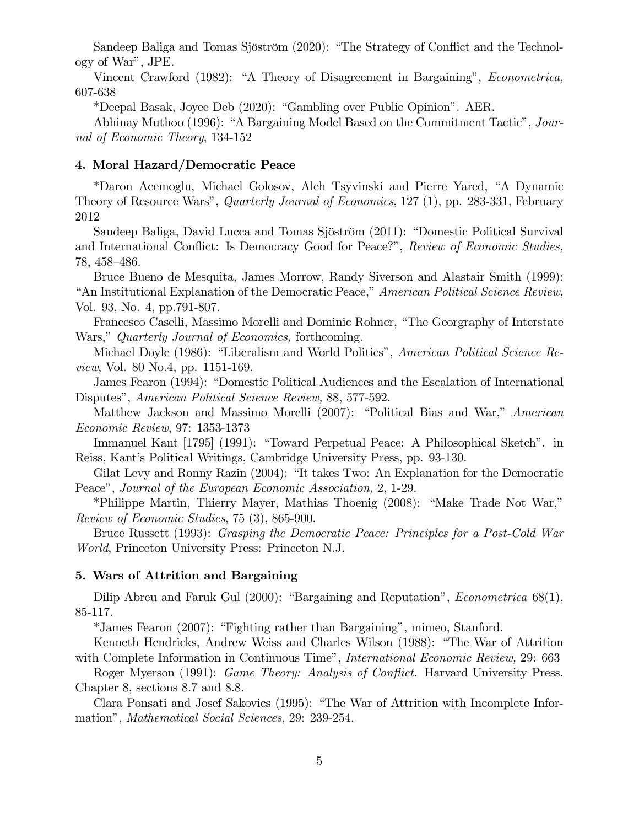Sandeep Baliga and Tomas Sjöström (2020): "The Strategy of Conflict and the Technology of War", JPE.

Vincent Crawford (1982): "A Theory of Disagreement in Bargaining", *Econometrica*, 607-638

\*Deepal Basak, Joyee Deb (2020): "Gambling over Public Opinion". AER.

Abhinay Muthoo (1996): "A Bargaining Model Based on the Commitment Tactic", Journal of Economic Theory, 134-152

#### 4. Moral Hazard/Democratic Peace

\*Daron Acemoglu, Michael Golosov, Aleh Tsyvinski and Pierre Yared, "A Dynamic Theory of Resource Wars", *Quarterly Journal of Economics*, 127 (1), pp. 283-331, February 2012

Sandeep Baliga, David Lucca and Tomas Sjöström (2011): "Domestic Political Survival and International Conflict: Is Democracy Good for Peace?", Review of Economic Studies, 78, 458–486.

Bruce Bueno de Mesquita, James Morrow, Randy Siverson and Alastair Smith (1999): "An Institutional Explanation of the Democratic Peace," American Political Science Review, Vol. 93, No. 4, pp.791-807.

Francesco Caselli, Massimo Morelli and Dominic Rohner, "The Georgraphy of Interstate Wars," Quarterly Journal of Economics, forthcoming.

Michael Doyle (1986): "Liberalism and World Politics", *American Political Science Re*view, Vol. 80 No.4, pp. 1151-169.

James Fearon (1994): "Domestic Political Audiences and the Escalation of International Disputes", American Political Science Review, 88, 577-592.

Matthew Jackson and Massimo Morelli (2007): "Political Bias and War," American Economic Review, 97: 1353-1373

Immanuel Kant [1795] (1991): "Toward Perpetual Peace: A Philosophical Sketch". in Reiss, Kant's Political Writings, Cambridge University Press, pp. 93-130.

Gilat Levy and Ronny Razin (2004): "It takes Two: An Explanation for the Democratic Peace", Journal of the European Economic Association, 2, 1-29.

\*Philippe Martin, Thierry Mayer, Mathias Thoenig  $(2008)$ : "Make Trade Not War," Review of Economic Studies, 75 (3), 865-900.

Bruce Russett (1993): Grasping the Democratic Peace: Principles for a Post-Cold War World, Princeton University Press: Princeton N.J.

#### 5. Wars of Attrition and Bargaining

Dilip Abreu and Faruk Gul  $(2000)$ : "Bargaining and Reputation", *Econometrica* 68(1), 85-117.

\*James Fearon (2007): "Fighting rather than Bargaining", mimeo, Stanford.

Kenneth Hendricks, Andrew Weiss and Charles Wilson (1988): "The War of Attrition with Complete Information in Continuous Time", *International Economic Review*, 29: 663

Roger Myerson (1991): *Game Theory: Analysis of Conflict*. Harvard University Press. Chapter 8, sections 8.7 and 8.8.

Clara Ponsati and Josef Sakovics (1995): "The War of Attrition with Incomplete Informationî, Mathematical Social Sciences, 29: 239-254.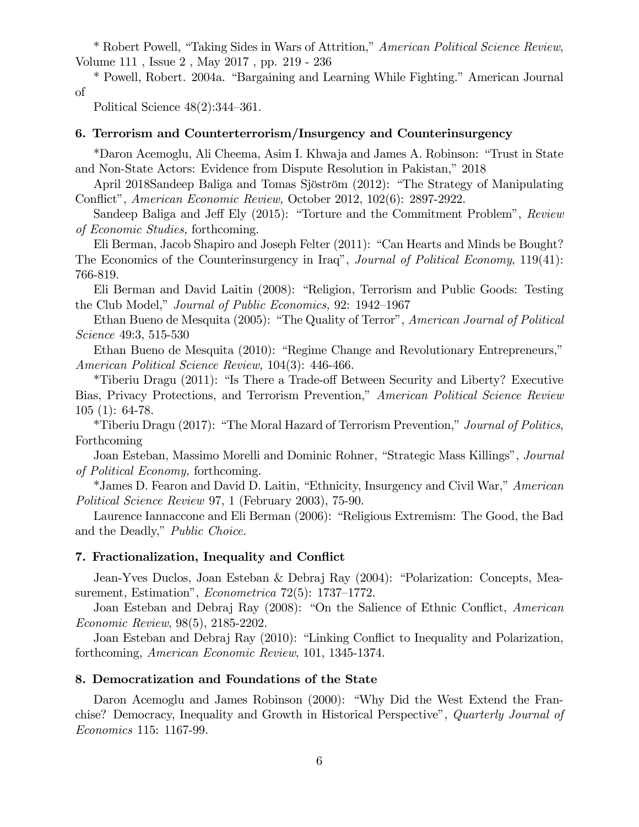\* Robert Powell, "Taking Sides in Wars of Attrition," American Political Science Review, Volume 111 , Issue 2 , May 2017 , pp. 219 - 236

\* Powell, Robert. 2004a. "Bargaining and Learning While Fighting." American Journal of

Political Science  $48(2):344-361$ .

## 6. Terrorism and Counterterrorism/Insurgency and Counterinsurgency

\*Daron Acemoglu, Ali Cheema, Asim I. Khwaja and James A. Robinson: "Trust in State and Non-State Actors: Evidence from Dispute Resolution in Pakistan," 2018

April 2018Sandeep Baliga and Tomas Sjöström (2012): "The Strategy of Manipulating Conflict", American Economic Review, October 2012, 102(6): 2897-2922.

Sandeep Baliga and Jeff Ely (2015): "Torture and the Commitment Problem", Review of Economic Studies, forthcoming.

Eli Berman, Jacob Shapiro and Joseph Felter  $(2011)$ : "Can Hearts and Minds be Bought? The Economics of the Counterinsurgency in Iraq", Journal of Political Economy, 119(41): 766-819.

Eli Berman and David Laitin (2008): "Religion, Terrorism and Public Goods: Testing the Club Model," Journal of Public Economics, 92: 1942–1967

Ethan Bueno de Mesquita (2005): "The Quality of Terror", American Journal of Political Science 49:3, 515-530

Ethan Bueno de Mesquita (2010): "Regime Change and Revolutionary Entrepreneurs," American Political Science Review, 104(3): 446-466.

\*Tiberiu Dragu (2011): "Is There a Trade-off Between Security and Liberty? Executive Bias, Privacy Protections, and Terrorism Prevention," American Political Science Review 105 (1): 64-78.

\*Tiberiu Dragu (2017): "The Moral Hazard of Terrorism Prevention," Journal of Politics, Forthcoming

Joan Esteban, Massimo Morelli and Dominic Rohner, "Strategic Mass Killings", Journal of Political Economy, forthcoming.

\*James D. Fearon and David D. Laitin, "Ethnicity, Insurgency and Civil War," American Political Science Review 97, 1 (February 2003), 75-90.

Laurence Iannaccone and Eli Berman (2006): "Religious Extremism: The Good, the Bad and the Deadly," Public Choice.

## 7. Fractionalization, Inequality and Conflict

Jean-Yves Duclos, Joan Esteban & Debraj Ray (2004): "Polarization: Concepts, Measurement, Estimation", *Econometrica*  $72(5)$ : 1737–1772.

Joan Esteban and Debraj Ray (2008): "On the Salience of Ethnic Conflict, American Economic Review, 98(5), 2185-2202.

Joan Esteban and Debraj Ray (2010): "Linking Conflict to Inequality and Polarization, forthcoming, American Economic Review, 101, 1345-1374.

#### 8. Democratization and Foundations of the State

Daron Acemoglu and James Robinson (2000): "Why Did the West Extend the Franchise? Democracy, Inequality and Growth in Historical Perspective", Quarterly Journal of Economics 115: 1167-99.